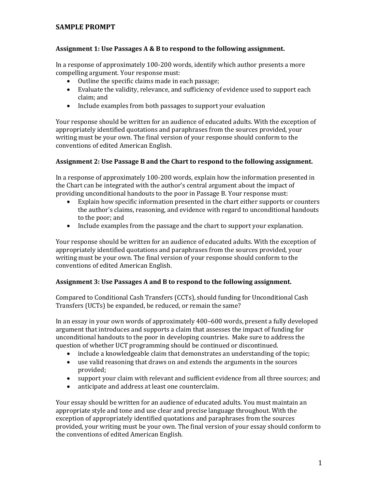### Assignment 1: Use Passages A & B to respond to the following assignment.

In a response of approximately 100-200 words, identify which author presents a more compelling argument. Your response must:

- Outline the specific claims made in each passage;
- Evaluate the validity, relevance, and sufficiency of evidence used to support each claim; and
- Include examples from both passages to support your evaluation

Your response should be written for an audience of educated adults. With the exception of appropriately identified quotations and paraphrases from the sources provided, your writing must be your own. The final version of your response should conform to the conventions of edited American English.

#### Assignment 2: Use Passage B and the Chart to respond to the following assignment.

In a response of approximately  $100-200$  words, explain how the information presented in the Chart can be integrated with the author's central argument about the impact of providing unconditional handouts to the poor in Passage B. Your response must:

- Explain how specific information presented in the chart either supports or counters the author's claims, reasoning, and evidence with regard to unconditional handouts to the poor; and
- Include examples from the passage and the chart to support your explanation.

Your response should be written for an audience of educated adults. With the exception of appropriately identified quotations and paraphrases from the sources provided, your writing must be your own. The final version of your response should conform to the conventions of edited American English.

### Assignment 3: Use Passages A and B to respond to the following assignment.

Compared to Conditional Cash Transfers (CCTs), should funding for Unconditional Cash Transfers (UCTs) be expanded, be reduced, or remain the same?

In an essay in your own words of approximately 400–600 words, present a fully developed argument that introduces and supports a claim that assesses the impact of funding for unconditional handouts to the poor in developing countries. Make sure to address the question of whether UCT programming should be continued or discontinued.

- include a knowledgeable claim that demonstrates an understanding of the topic;
- use valid reasoning that draws on and extends the arguments in the sources provided;
- support your claim with relevant and sufficient evidence from all three sources; and
- anticipate and address at least one counterclaim.

Your essay should be written for an audience of educated adults. You must maintain an appropriate style and tone and use clear and precise language throughout. With the exception of appropriately identified quotations and paraphrases from the sources provided, your writing must be your own. The final version of your essay should conform to the conventions of edited American English.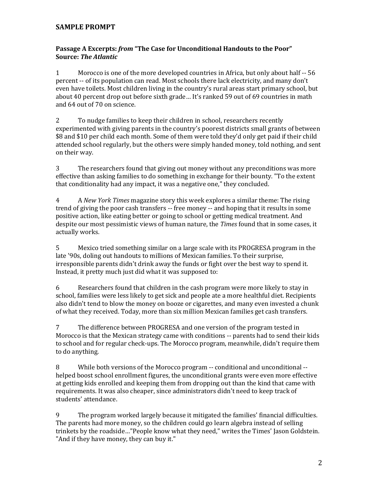### **Passage A Excerpts: from "The Case for Unconditional Handouts to the Poor" Source:** *The Atlantic*

1 Morocco is one of the more developed countries in Africa, but only about half -- 56 percent -- of its population can read. Most schools there lack electricity, and many don't even have toilets. Most children living in the country's rural areas start primary school, but about 40 percent drop out before sixth grade... It's ranked 59 out of 69 countries in math and 64 out of 70 on science.

2 To nudge families to keep their children in school, researchers recently experimented with giving parents in the country's poorest districts small grants of between \$8 and \$10 per child each month. Some of them were told they'd only get paid if their child attended school regularly, but the others were simply handed money, told nothing, and sent on their way.

3 The researchers found that giving out money without any preconditions was more effective than asking families to do something in exchange for their bounty. "To the extent that conditionality had any impact, it was a negative one," they concluded.

4 A *New York Times* magazine story this week explores a similar theme: The rising trend of giving the poor cash transfers -- free money -- and hoping that it results in some positive action, like eating better or going to school or getting medical treatment. And despite our most pessimistic views of human nature, the *Times* found that in some cases, it actually works.

5 Mexico tried something similar on a large scale with its PROGRESA program in the late '90s, doling out handouts to millions of Mexican families. To their surprise, irresponsible parents didn't drink away the funds or fight over the best way to spend it. Instead, it pretty much just did what it was supposed to:

 $6$  Researchers found that children in the cash program were more likely to stay in school, families were less likely to get sick and people ate a more healthful diet. Recipients also didn't tend to blow the money on booze or cigarettes, and many even invested a chunk of what they received. Today, more than six million Mexican families get cash transfers.

7 The difference between PROGRESA and one version of the program tested in Morocco is that the Mexican strategy came with conditions -- parents had to send their kids to school and for regular check-ups. The Morocco program, meanwhile, didn't require them to do anything.

8 While both versions of the Morocco program -- conditional and unconditional -helped boost school enrollment figures, the unconditional grants were even more effective at getting kids enrolled and keeping them from dropping out than the kind that came with requirements. It was also cheaper, since administrators didn't need to keep track of students' attendance.

9 The program worked largely because it mitigated the families' financial difficulties. The parents had more money, so the children could go learn algebra instead of selling trinkets by the roadside..."People know what they need," writes the Times' Jason Goldstein. "And if they have money, they can buy it."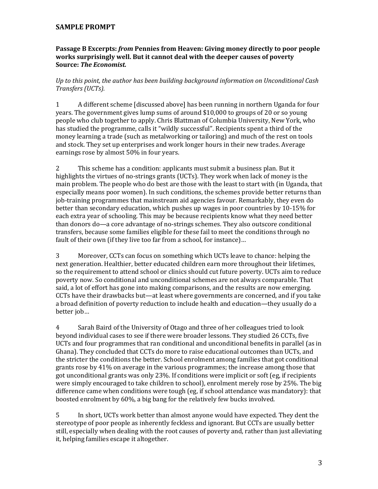### **Passage B Excerpts:** *from* **Pennies from Heaven: Giving money directly to poor people** works surprisingly well. But it cannot deal with the deeper causes of poverty **Source: The Economist.**

Up to this point, the author has been building background information on Unconditional Cash *Transfers (UCTs).* 

1 A different scheme [discussed above] has been running in northern Uganda for four years. The government gives lump sums of around  $$10,000$  to groups of 20 or so young people who club together to apply. Chris Blattman of Columbia University, New York, who has studied the programme, calls it "wildly successful". Recipients spent a third of the money learning a trade (such as metalworking or tailoring) and much of the rest on tools and stock. They set up enterprises and work longer hours in their new trades. Average earnings rose by almost 50% in four years.

2 This scheme has a condition: applicants must submit a business plan. But it highlights the virtues of no-strings grants (UCTs). They work when lack of money is the main problem. The people who do best are those with the least to start with (in Uganda, that especially means poor women). In such conditions, the schemes provide better returns than job-training programmes that mainstream aid agencies favour. Remarkably, they even do better than secondary education, which pushes up wages in poor countries by  $10\n-15\%$  for each extra year of schooling. This may be because recipients know what they need better than donors do—a core advantage of no-strings schemes. They also outscore conditional transfers, because some families eligible for these fail to meet the conditions through no fault of their own (if they live too far from a school, for instance)...

3 Moreover, CCTs can focus on something which UCTs leave to chance: helping the next generation. Healthier, better educated children earn more throughout their lifetimes, so the requirement to attend school or clinics should cut future poverty. UCTs aim to reduce poverty now. So conditional and unconditional schemes are not always comparable. That said, a lot of effort has gone into making comparisons, and the results are now emerging. CCTs have their drawbacks but—at least where governments are concerned, and if you take a broad definition of poverty reduction to include health and education—they usually do a better job...

4 Sarah Baird of the University of Otago and three of her colleagues tried to look beyond individual cases to see if there were broader lessons. They studied 26 CCTs, five UCTs and four programmes that ran conditional and unconditional benefits in parallel (as in Ghana). They concluded that CCTs do more to raise educational outcomes than UCTs, and the stricter the conditions the better. School enrolment among families that got conditional grants rose by  $41\%$  on average in the various programmes; the increase among those that got unconditional grants was only 23%. If conditions were implicit or soft (eg, if recipients were simply encouraged to take children to school), enrolment merely rose by 25%. The big difference came when conditions were tough  $\left(\text{eg, if school attendance was mandatory}\right)$ : that boosted enrolment by 60%, a big bang for the relatively few bucks involved.

5 In short, UCTs work better than almost anyone would have expected. They dent the stereotype of poor people as inherently feckless and ignorant. But CCTs are usually better still, especially when dealing with the root causes of poverty and, rather than just alleviating it, helping families escape it altogether.